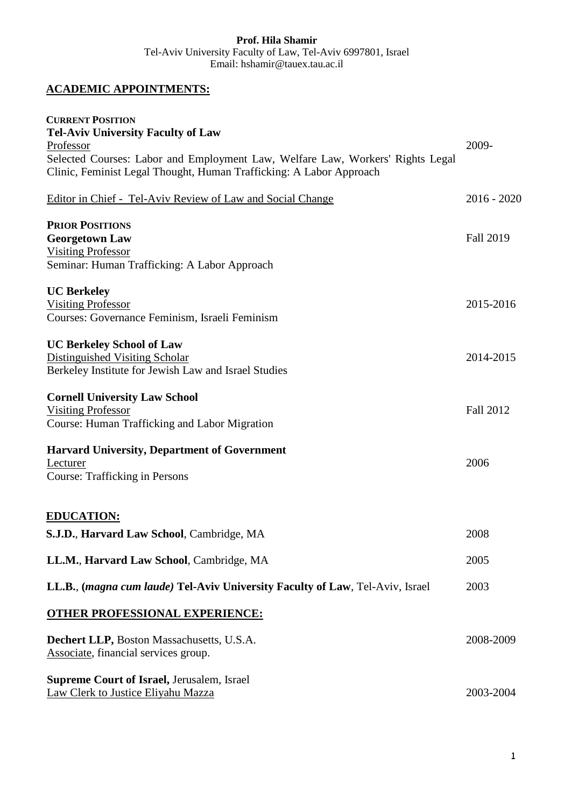## **Prof. Hila Shamir** Tel-Aviv University Faculty of Law, Tel-Aviv 6997801, Israel Email: hshamir@tauex.tau.ac.il

# **ACADEMIC APPOINTMENTS:**

| <b>CURRENT POSITION</b>                                                              |                  |
|--------------------------------------------------------------------------------------|------------------|
| <b>Tel-Aviv University Faculty of Law</b>                                            |                  |
| Professor                                                                            | 2009-            |
| Selected Courses: Labor and Employment Law, Welfare Law, Workers' Rights Legal       |                  |
| Clinic, Feminist Legal Thought, Human Trafficking: A Labor Approach                  |                  |
| Editor in Chief - Tel-Aviv Review of Law and Social Change                           | $2016 - 2020$    |
| <b>PRIOR POSITIONS</b>                                                               |                  |
| <b>Georgetown Law</b>                                                                | <b>Fall 2019</b> |
| <b>Visiting Professor</b>                                                            |                  |
| Seminar: Human Trafficking: A Labor Approach                                         |                  |
| <b>UC Berkeley</b>                                                                   |                  |
| <b>Visiting Professor</b>                                                            | 2015-2016        |
| Courses: Governance Feminism, Israeli Feminism                                       |                  |
| <b>UC Berkeley School of Law</b>                                                     |                  |
| Distinguished Visiting Scholar                                                       | 2014-2015        |
| Berkeley Institute for Jewish Law and Israel Studies                                 |                  |
| <b>Cornell University Law School</b>                                                 |                  |
| <b>Visiting Professor</b>                                                            | Fall 2012        |
| Course: Human Trafficking and Labor Migration                                        |                  |
| <b>Harvard University, Department of Government</b>                                  |                  |
| Lecturer                                                                             | 2006             |
| <b>Course: Trafficking in Persons</b>                                                |                  |
| <b>EDUCATION:</b>                                                                    |                  |
| S.J.D., Harvard Law School, Cambridge, MA                                            | 2008             |
|                                                                                      |                  |
| LL.M., Harvard Law School, Cambridge, MA                                             | 2005             |
| LL.B., <i>(magna cum laude)</i> Tel-Aviv University Faculty of Law, Tel-Aviv, Israel | 2003             |
| <b>OTHER PROFESSIONAL EXPERIENCE:</b>                                                |                  |
| Dechert LLP, Boston Massachusetts, U.S.A.                                            | 2008-2009        |
| Associate, financial services group.                                                 |                  |
| <b>Supreme Court of Israel, Jerusalem, Israel</b>                                    |                  |
| Law Clerk to Justice Eliyahu Mazza                                                   | 2003-2004        |
|                                                                                      |                  |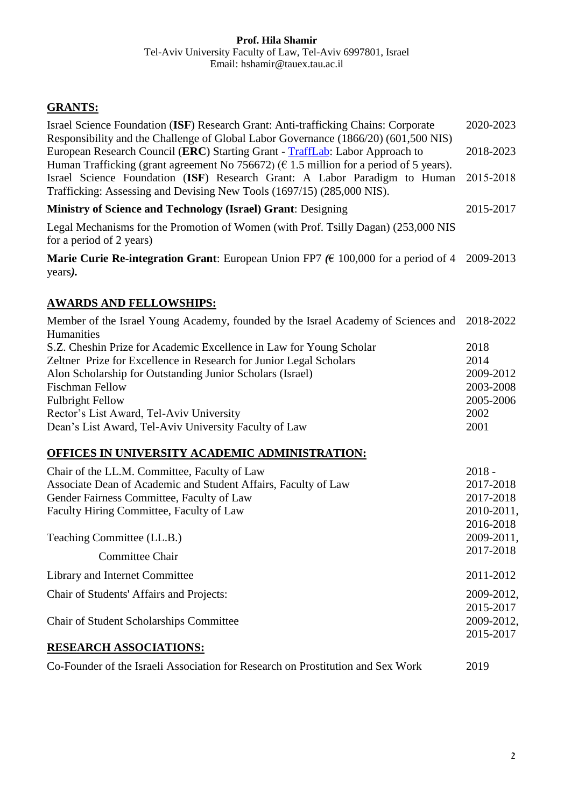# **GRANTS:**

| Israel Science Foundation (ISF) Research Grant: Anti-trafficking Chains: Corporate<br>Responsibility and the Challenge of Global Labor Governance (1866/20) (601,500 NIS)                                                                               | 2020-2023               |
|---------------------------------------------------------------------------------------------------------------------------------------------------------------------------------------------------------------------------------------------------------|-------------------------|
| European Research Council (ERC) Starting Grant - TraffLab: Labor Approach to                                                                                                                                                                            | 2018-2023               |
| Human Trafficking (grant agreement No 756672) ( $\epsilon$ 1.5 million for a period of 5 years).<br>Israel Science Foundation (ISF) Research Grant: A Labor Paradigm to Human<br>Trafficking: Assessing and Devising New Tools (1697/15) (285,000 NIS). | 2015-2018               |
| <b>Ministry of Science and Technology (Israel) Grant: Designing</b>                                                                                                                                                                                     | 2015-2017               |
| Legal Mechanisms for the Promotion of Women (with Prof. Tsilly Dagan) (253,000 NIS<br>for a period of 2 years)                                                                                                                                          |                         |
| <b>Marie Curie Re-integration Grant:</b> European Union FP7 ( $\in$ 100,000 for a period of 4 2009-2013<br>years).                                                                                                                                      |                         |
| <b>AWARDS AND FELLOWSHIPS:</b>                                                                                                                                                                                                                          |                         |
| Member of the Israel Young Academy, founded by the Israel Academy of Sciences and<br>Humanities                                                                                                                                                         | 2018-2022               |
| S.Z. Cheshin Prize for Academic Excellence in Law for Young Scholar                                                                                                                                                                                     | 2018                    |
| Zeltner Prize for Excellence in Research for Junior Legal Scholars                                                                                                                                                                                      | 2014                    |
| Alon Scholarship for Outstanding Junior Scholars (Israel)                                                                                                                                                                                               | 2009-2012               |
| <b>Fischman Fellow</b>                                                                                                                                                                                                                                  | 2003-2008               |
| <b>Fulbright Fellow</b>                                                                                                                                                                                                                                 | 2005-2006               |
| Rector's List Award, Tel-Aviv University                                                                                                                                                                                                                | 2002<br>2001            |
| Dean's List Award, Tel-Aviv University Faculty of Law                                                                                                                                                                                                   |                         |
| <b>OFFICES IN UNIVERSITY ACADEMIC ADMINISTRATION:</b>                                                                                                                                                                                                   |                         |
| Chair of the LL.M. Committee, Faculty of Law                                                                                                                                                                                                            | $2018 -$                |
| Associate Dean of Academic and Student Affairs, Faculty of Law                                                                                                                                                                                          | 2017-2018               |
| Gender Fairness Committee, Faculty of Law                                                                                                                                                                                                               | 2017-2018               |
| Faculty Hiring Committee, Faculty of Law                                                                                                                                                                                                                | 2010-2011,              |
| Teaching Committee (LL.B.)                                                                                                                                                                                                                              | 2016-2018<br>2009-2011, |
| Committee Chair                                                                                                                                                                                                                                         | 2017-2018               |
| Library and Internet Committee                                                                                                                                                                                                                          | 2011-2012               |
| Chair of Students' Affairs and Projects:                                                                                                                                                                                                                | 2009-2012,              |
|                                                                                                                                                                                                                                                         | 2015-2017               |
| <b>Chair of Student Scholarships Committee</b>                                                                                                                                                                                                          | 2009-2012,<br>2015-2017 |
| <b>RESEARCH ASSOCIATIONS:</b>                                                                                                                                                                                                                           |                         |
| Co-Founder of the Israeli Association for Research on Prostitution and Sex Work                                                                                                                                                                         | 2019                    |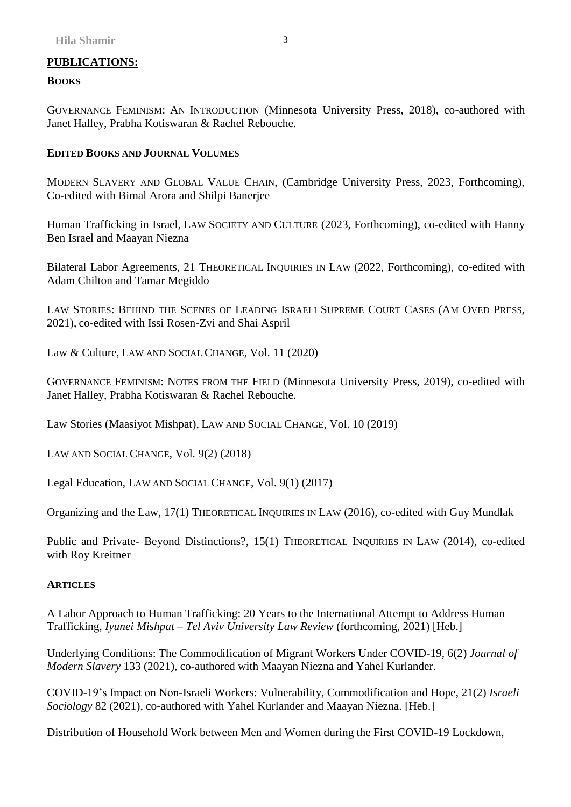# **PUBLICATIONS:**

## **BOOKS**

GOVERNANCE FEMINISM: AN INTRODUCTION (Minnesota University Press, 2018), co-authored with Janet Halley, Prabha Kotiswaran & Rachel Rebouche.

## **EDITED BOOKS AND JOURNAL VOLUMES**

MODERN SLAVERY AND GLOBAL VALUE CHAIN, (Cambridge University Press, 2023, Forthcoming), Co-edited with Bimal Arora and Shilpi Banerjee

Human Trafficking in Israel, LAW SOCIETY AND CULTURE (2023, Forthcoming), co-edited with Hanny Ben Israel and Maayan Niezna

Bilateral Labor Agreements, 21 THEORETICAL INQUIRIES IN LAW (2022, Forthcoming), co-edited with Adam Chilton and Tamar Megiddo

LAW STORIES: BEHIND THE SCENES OF LEADING ISRAELI SUPREME COURT CASES (AM OVED PRESS, 2021), co-edited with Issi Rosen-Zvi and Shai Aspril

Law & Culture, LAW AND SOCIAL CHANGE, Vol. 11 (2020)

GOVERNANCE FEMINISM: NOTES FROM THE FIELD (Minnesota University Press, 2019), co-edited with Janet Halley, Prabha Kotiswaran & Rachel Rebouche.

Law Stories (Maasiyot Mishpat), LAW AND SOCIAL CHANGE, Vol. 10 (2019)

LAW AND SOCIAL CHANGE, Vol. 9(2) (2018)

Legal Education, LAW AND SOCIAL CHANGE, Vol. 9(1) (2017)

Organizing and the Law, 17(1) THEORETICAL INQUIRIES IN LAW (2016), co-edited with Guy Mundlak

Public and Private- Beyond Distinctions?, 15(1) THEORETICAL INQUIRIES IN LAW (2014), co-edited with Roy Kreitner

## **ARTICLES**

A Labor Approach to Human Trafficking: 20 Years to the International Attempt to Address Human Trafficking, *Iyunei Mishpat – Tel Aviv University Law Review* (forthcoming, 2021) [Heb.]

Underlying Conditions: The Commodification of Migrant Workers Under COVID-19, 6(2) *Journal of Modern Slavery* 133 (2021), co-authored with Maayan Niezna and Yahel Kurlander.

COVID-19's Impact on Non-Israeli Workers: Vulnerability, Commodification and Hope, 21(2) *Israeli Sociology* 82 (2021), co-authored with Yahel Kurlander and Maayan Niezna. [Heb.]

Distribution of Household Work between Men and Women during the First COVID-19 Lockdown,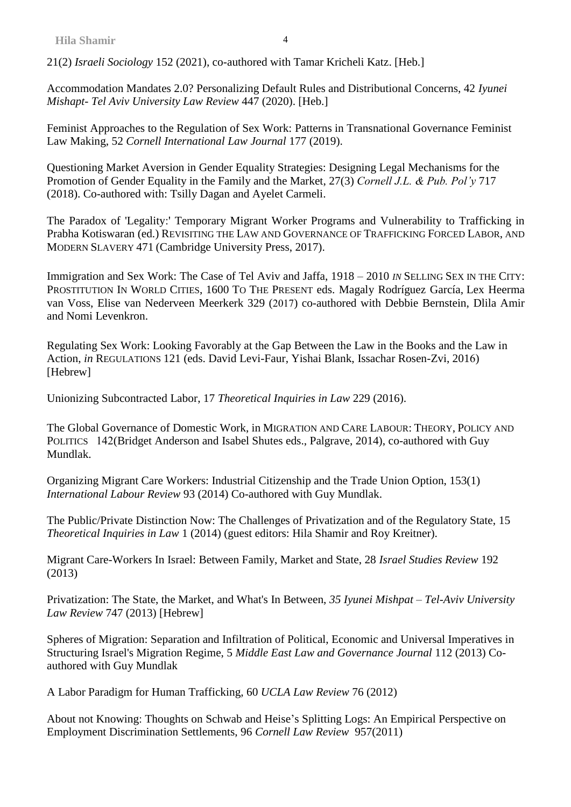21(2) *Israeli Sociology* 152 (2021), co-authored with Tamar Kricheli Katz. [Heb.]

Accommodation Mandates 2.0? Personalizing Default Rules and Distributional Concerns, 42 *Iyunei Mishapt- Tel Aviv University Law Review* 447 (2020). [Heb.]

Feminist Approaches to the Regulation of Sex Work: Patterns in Transnational Governance Feminist Law Making, 52 *Cornell International Law Journal* 177 (2019).

Questioning Market Aversion in Gender Equality Strategies: Designing Legal Mechanisms for the Promotion of Gender Equality in the Family and the Market, 27(3) *Cornell J.L. & Pub. Pol'y* 717 (2018). Co-authored with: Tsilly Dagan and Ayelet Carmeli.

The Paradox of 'Legality:' Temporary Migrant Worker Programs and Vulnerability to Trafficking in Prabha Kotiswaran (ed.) REVISITING THE LAW AND GOVERNANCE OF TRAFFICKING FORCED LABOR, AND MODERN SLAVERY 471 (Cambridge University Press, 2017).

Immigration and Sex Work: The Case of Tel Aviv and Jaffa, 1918 – 2010 *IN* SELLING SEX IN THE CITY: PROSTITUTION IN WORLD CITIES, 1600 TO THE PRESENT eds. Magaly Rodríguez García, Lex Heerma van Voss, Elise van Nederveen Meerkerk 329 (2017) co-authored with Debbie Bernstein, Dlila Amir and Nomi Levenkron.

Regulating Sex Work: Looking Favorably at the Gap Between the Law in the Books and the Law in Action, *in* REGULATIONS 121 (eds. David Levi-Faur, Yishai Blank, Issachar Rosen-Zvi, 2016) [Hebrew]

Unionizing Subcontracted Labor, 17 *Theoretical Inquiries in Law* 229 (2016).

The Global Governance of Domestic Work, in MIGRATION AND CARE LABOUR: THEORY, POLICY AND POLITICS 142(Bridget Anderson and Isabel Shutes eds., Palgrave, 2014), co-authored with Guy Mundlak.

Organizing Migrant Care Workers: Industrial Citizenship and the Trade Union Option, 153(1) *International Labour Review* 93 (2014) Co-authored with Guy Mundlak.

The Public/Private Distinction Now: The Challenges of Privatization and of the Regulatory State, 15 *Theoretical Inquiries in Law* 1 (2014) (guest editors: Hila Shamir and Roy Kreitner).

Migrant Care-Workers In Israel: Between Family, Market and State, 28 *Israel Studies Review* 192 (2013)

Privatization: The State, the Market, and What's In Between, *35 Iyunei Mishpat – Tel-Aviv University Law Review* 747 (2013) [Hebrew]

Spheres of Migration: Separation and Infiltration of Political, Economic and Universal Imperatives in Structuring Israel's Migration Regime, 5 *Middle East Law and Governance Journal* 112 (2013) Coauthored with Guy Mundlak

A Labor Paradigm for Human Trafficking, 60 *UCLA Law Review* 76 (2012)

About not Knowing: Thoughts on Schwab and Heise's Splitting Logs: An Empirical Perspective on Employment Discrimination Settlements, 96 *Cornell Law Review* 957(2011)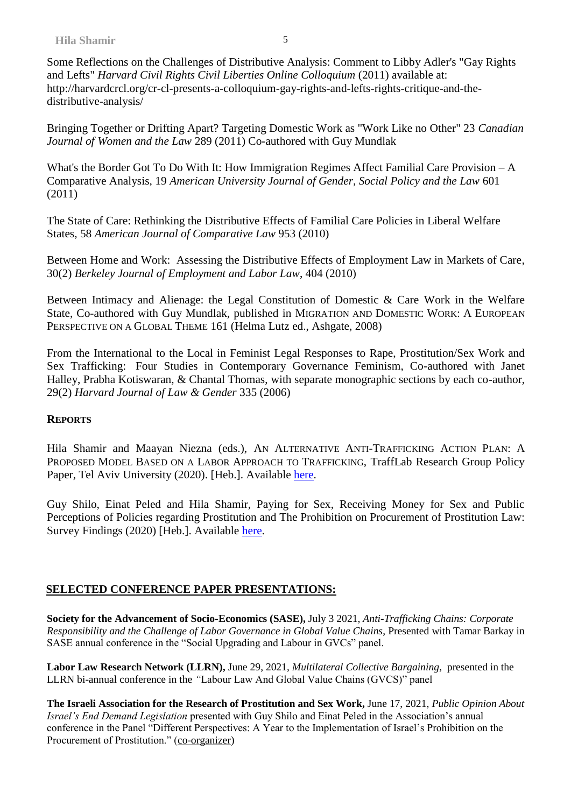Some Reflections on the Challenges of Distributive Analysis: Comment to Libby Adler's "Gay Rights and Lefts" *Harvard Civil Rights Civil Liberties Online Colloquium* (2011) available at: http://harvardcrcl.org/cr-cl-presents-a-colloquium-gay-rights-and-lefts-rights-critique-and-thedistributive-analysis/

Bringing Together or Drifting Apart? Targeting Domestic Work as "Work Like no Other" 23 *Canadian Journal of Women and the Law* 289 (2011) Co-authored with Guy Mundlak

What's the Border Got To Do With It: How Immigration Regimes Affect Familial Care Provision – A Comparative Analysis, 19 *American University Journal of Gender, Social Policy and the Law* 601 (2011)

The State of Care: Rethinking the Distributive Effects of Familial Care Policies in Liberal Welfare States*,* 58 *American Journal of Comparative Law* 953 (2010)

Between Home and Work: Assessing the Distributive Effects of Employment Law in Markets of Care*,*  30(2) *Berkeley Journal of Employment and Labor Law*, 404 (2010)

Between Intimacy and Alienage: the Legal Constitution of Domestic & Care Work in the Welfare State, Co-authored with Guy Mundlak, published in MIGRATION AND DOMESTIC WORK: A EUROPEAN PERSPECTIVE ON A GLOBAL THEME 161 (Helma Lutz ed., Ashgate, 2008)

From the International to the Local in Feminist Legal Responses to Rape, Prostitution/Sex Work and Sex Trafficking: Four Studies in Contemporary Governance Feminism, Co-authored with Janet Halley, Prabha Kotiswaran, & Chantal Thomas, with separate monographic sections by each co-author, 29(2) *Harvard Journal of Law & Gender* 335 (2006)

## **REPORTS**

Hila Shamir and Maayan Niezna (eds.), AN ALTERNATIVE ANTI-TRAFFICKING ACTION PLAN: A PROPOSED MODEL BASED ON A LABOR APPROACH TO TRAFFICKING, TraffLab Research Group Policy Paper, Tel Aviv University (2020). [Heb.]. Available [here.](https://5b95acaf-0ac7-4d09-b46a-a0f0163d0c70.filesusr.com/ugd/11e1f0_a0421b2e35204a859611a029bd2dcc2f.pdf)

Guy Shilo, Einat Peled and Hila Shamir, Paying for Sex, Receiving Money for Sex and Public Perceptions of Policies regarding Prostitution and The Prohibition on Procurement of Prostitution Law: Survey Findings (2020) [Heb.]. Available [here.](https://5b95acaf-0ac7-4d09-b46a-a0f0163d0c70.filesusr.com/ugd/11e1f0_2f4b7810c1014d5da622955aa9580857.pdf)

# **SELECTED CONFERENCE PAPER PRESENTATIONS:**

**Society for the Advancement of Socio-Economics (SASE),** July 3 2021, *Anti-Trafficking Chains: Corporate Responsibility and the Challenge of Labor Governance in Global Value Chains*, Presented with Tamar Barkay in SASE annual conference in the "Social Upgrading and Labour in GVCs" panel.

**Labor Law Research Network (LLRN),** June 29, 2021, *Multilateral Collective Bargaining,* presented in the LLRN bi-annual conference in the *"*Labour Law And Global Value Chains (GVCS)" panel

**The Israeli Association for the Research of Prostitution and Sex Work,** June 17, 2021, *Public Opinion About Israel's End Demand Legislation* presented with Guy Shilo and Einat Peled in the Association's annual conference in the Panel "Different Perspectives: A Year to the Implementation of Israel's Prohibition on the Procurement of Prostitution." (co-organizer)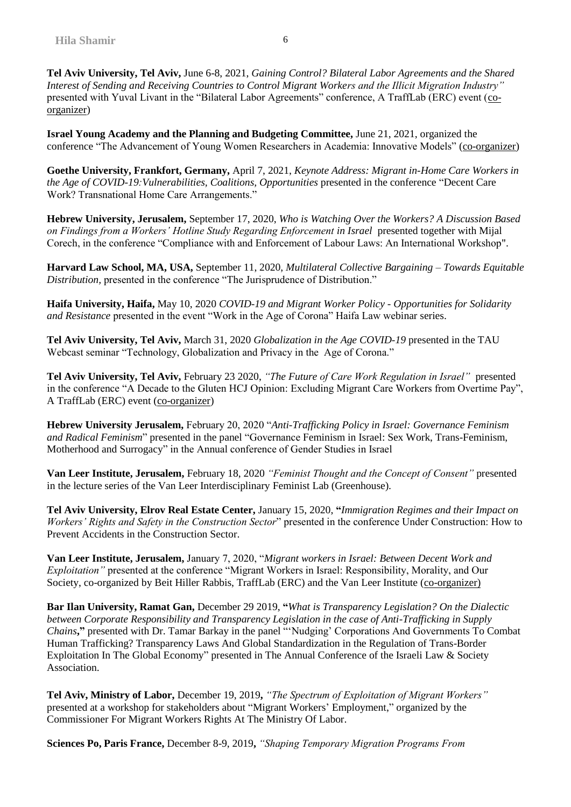**Tel Aviv University, Tel Aviv,** June 6-8, 2021, *Gaining Control? Bilateral Labor Agreements and the Shared Interest of Sending and Receiving Countries to Control Migrant Workers and the Illicit Migration Industry"*  presented with Yuval Livant in the "Bilateral Labor Agreements" conference, A TraffLab (ERC) event (coorganizer)

**Israel Young Academy and the Planning and Budgeting Committee,** June 21, 2021, organized the conference "The Advancement of Young Women Researchers in Academia: Innovative Models" (co-organizer)

**Goethe University, Frankfort, Germany,** April 7, 2021, *Keynote Address: Migrant in-Home Care Workers in the Age of COVID-19:Vulnerabilities, Coalitions, Opportunities* presented in the conference "Decent Care Work? Transnational Home Care Arrangements."

**Hebrew University, Jerusalem,** September 17, 2020, *Who is Watching Over the Workers? A Discussion Based on Findings from a Workers' Hotline Study Regarding Enforcement in Israel* presented together with Mijal Corech, in the conference "Compliance with and Enforcement of Labour Laws: An International Workshop".

**Harvard Law School, MA, USA,** September 11, 2020, *Multilateral Collective Bargaining – Towards Equitable Distribution,* presented in the conference "The Jurisprudence of Distribution."

**Haifa University, Haifa,** May 10, 2020 *COVID-19 and Migrant Worker Policy - Opportunities for Solidarity and Resistance* presented in the event "Work in the Age of Corona" Haifa Law webinar series.

**Tel Aviv University, Tel Aviv,** March 31, 2020 *Globalization in the Age COVID-19* presented in the TAU Webcast seminar "Technology, Globalization and Privacy in the Age of Corona."

**Tel Aviv University, Tel Aviv,** February 23 2020, *"The Future of Care Work Regulation in Israel"* presented in the conference "A Decade to the Gluten HCJ Opinion: Excluding Migrant Care Workers from Overtime Pay", A TraffLab (ERC) event (co-organizer)

**Hebrew University Jerusalem,** February 20, 2020 "*Anti-Trafficking Policy in Israel: Governance Feminism and Radical Feminism*" presented in the panel "Governance Feminism in Israel: Sex Work, Trans-Feminism, Motherhood and Surrogacy" in the Annual conference of Gender Studies in Israel

**Van Leer Institute, Jerusalem,** February 18, 2020 *"Feminist Thought and the Concept of Consent"* presented in the lecture series of the Van Leer Interdisciplinary Feminist Lab (Greenhouse).

**Tel Aviv University, Elrov Real Estate Center,** January 15, 2020, **"***Immigration Regimes and their Impact on Workers' Rights and Safety in the Construction Sector*" presented in the conference Under Construction: How to Prevent Accidents in the Construction Sector.

**Van Leer Institute, Jerusalem,** January 7, 2020, "*Migrant workers in Israel: Between Decent Work and Exploitation"* presented at the conference "Migrant Workers in Israel: Responsibility, Morality, and Our Society, co-organized by Beit Hiller Rabbis, TraffLab (ERC) and the Van Leer Institute (co-organizer)

**Bar Ilan University, Ramat Gan,** December 29 2019, **"***What is Transparency Legislation? On the Dialectic between Corporate Responsibility and Transparency Legislation in the case of Anti-Trafficking in Supply Chains***,"** presented with Dr. Tamar Barkay in the panel "'Nudging' Corporations And Governments To Combat Human Trafficking? Transparency Laws And Global Standardization in the Regulation of Trans-Border Exploitation In The Global Economy" presented in The Annual Conference of the Israeli Law & Society Association.

**Tel Aviv, Ministry of Labor,** December 19, 2019**,** *"The Spectrum of Exploitation of Migrant Workers"*  presented at a workshop for stakeholders about "Migrant Workers' Employment," organized by the Commissioner For Migrant Workers Rights At The Ministry Of Labor.

**Sciences Po, Paris France,** December 8-9, 2019**,** *"Shaping Temporary Migration Programs From*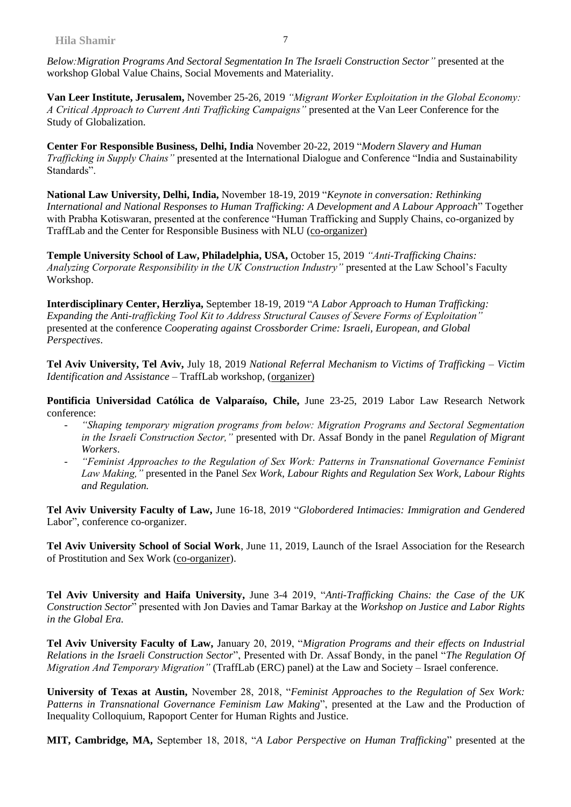*Below:Migration Programs And Sectoral Segmentation In The Israeli Construction Sector"* presented at the workshop Global Value Chains, Social Movements and Materiality.

**Van Leer Institute, Jerusalem,** November 25-26, 2019 *"Migrant Worker Exploitation in the Global Economy: A Critical Approach to Current Anti Trafficking Campaigns"* presented at the Van Leer Conference for the Study of Globalization.

**Center For Responsible Business, Delhi, India** November 20-22, 2019 "*Modern Slavery and Human Trafficking in Supply Chains"* presented at the International Dialogue and Conference "India and Sustainability Standards".

**National Law University, Delhi, India,** November 18-19, 2019 "*Keynote in conversation: Rethinking International and National Responses to Human Trafficking: A Development and A Labour Approach*" Together with Prabha Kotiswaran, presented at the conference "Human Trafficking and Supply Chains, co-organized by TraffLab and the Center for Responsible Business with NLU (co-organizer)

**Temple University School of Law, Philadelphia, USA,** October 15, 2019 *"Anti-Trafficking Chains: Analyzing Corporate Responsibility in the UK Construction Industry"* presented at the Law School's Faculty Workshop.

**Interdisciplinary Center, Herzliya,** September 18-19, 2019 "*A Labor Approach to Human Trafficking: Expanding the Anti-trafficking Tool Kit to Address Structural Causes of Severe Forms of Exploitation"* presented at the conference *Cooperating against Crossborder Crime: Israeli, European, and Global Perspectives*.

**Tel Aviv University, Tel Aviv,** July 18, 2019 *National Referral Mechanism to Victims of Trafficking – Victim Identification and Assistance* – TraffLab workshop, (organizer)

**Pontificia Universidad Católica de Valparaíso, Chile,** June 23-25, 2019 Labor Law Research Network conference:

- *- "Shaping temporary migration programs from below: Migration Programs and Sectoral Segmentation in the Israeli Construction Sector,"* presented with Dr. Assaf Bondy in the panel *Regulation of Migrant Workers*.
- *- "Feminist Approaches to the Regulation of Sex Work: Patterns in Transnational Governance Feminist Law Making,"* presented in the Panel *Sex Work, Labour Rights and Regulation Sex Work, Labour Rights and Regulation.*

**Tel Aviv University Faculty of Law,** June 16-18, 2019 "*Globordered Intimacies: Immigration and Gendered* Labor", conference co-organizer.

**Tel Aviv University School of Social Work**, June 11, 2019, Launch of the Israel Association for the Research of Prostitution and Sex Work (co-organizer).

**Tel Aviv University and Haifa University,** June 3-4 2019, "*Anti-Trafficking Chains: the Case of the UK Construction Sector*" presented with Jon Davies and Tamar Barkay at the *Workshop on Justice and Labor Rights in the Global Era.* 

**Tel Aviv University Faculty of Law,** January 20, 2019, "*Migration Programs and their effects on Industrial Relations in the Israeli Construction Sector*", Presented with Dr. Assaf Bondy, in the panel "*The Regulation Of Migration And Temporary Migration"* (TraffLab (ERC) panel) at the Law and Society – Israel conference.

**University of Texas at Austin,** November 28, 2018, "*Feminist Approaches to the Regulation of Sex Work: Patterns in Transnational Governance Feminism Law Making*", presented at the Law and the Production of Inequality Colloquium, Rapoport Center for Human Rights and Justice.

**MIT, Cambridge, MA,** September 18, 2018, "*A Labor Perspective on Human Trafficking*" presented at the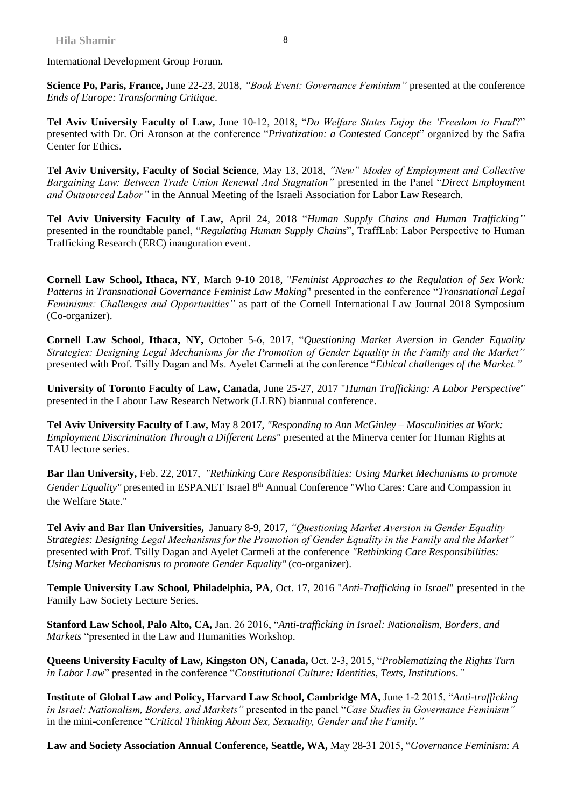International Development Group Forum.

**Science Po, Paris, France,** June 22-23, 2018, *"Book Event: Governance Feminism"* presented at the conference *Ends of Europe: Transforming Critique*.

**Tel Aviv University Faculty of Law,** June 10-12, 2018, "*Do Welfare States Enjoy the 'Freedom to Fund*?" presented with Dr. Ori Aronson at the conference "*Privatization: a Contested Concept*" organized by the Safra Center for Ethics.

**Tel Aviv University, Faculty of Social Science**, May 13, 2018, *"New" Modes of Employment and Collective Bargaining Law: Between Trade Union Renewal And Stagnation"* presented in the Panel "*Direct Employment and Outsourced Labor"* in the Annual Meeting of the Israeli Association for Labor Law Research.

**Tel Aviv University Faculty of Law,** April 24, 2018 "*Human Supply Chains and Human Trafficking"*  presented in the roundtable panel, "*Regulating Human Supply Chains*", TraffLab: Labor Perspective to Human Trafficking Research (ERC) inauguration event.

**Cornell Law School, Ithaca, NY**, March 9-10 2018, "*Feminist Approaches to the Regulation of Sex Work: Patterns in Transnational Governance Feminist Law Making*" presented in the conference "*Transnational Legal Feminisms: Challenges and Opportunities"* as part of the Cornell International Law Journal 2018 Symposium (Co-organizer).

**Cornell Law School, Ithaca, NY,** October 5-6, 2017, "*Questioning Market Aversion in Gender Equality Strategies: Designing Legal Mechanisms for the Promotion of Gender Equality in the Family and the Market"* presented with Prof. Tsilly Dagan and Ms. Ayelet Carmeli at the conference "*Ethical challenges of the Market."* 

**University of Toronto Faculty of Law, Canada,** June 25-27, 2017 "*Human Trafficking: A Labor Perspective"* presented in the Labour Law Research Network (LLRN) biannual conference.

**Tel Aviv University Faculty of Law,** May 8 2017, *"Responding to Ann McGinley – Masculinities at Work: Employment Discrimination Through a Different Lens"* presented at the Minerva center for Human Rights at TAU lecture series.

**Bar Ilan University,** Feb. 22, 2017, *"Rethinking Care Responsibilities: Using Market Mechanisms to promote Gender Equality"* presented in ESPANET Israel 8<sup>th</sup> Annual Conference "Who Cares: Care and Compassion in the Welfare State."

**Tel Aviv and Bar Ilan Universities,** January 8-9, 2017, *"Questioning Market Aversion in Gender Equality Strategies: Designing Legal Mechanisms for the Promotion of Gender Equality in the Family and the Market"* presented with Prof. Tsilly Dagan and Ayelet Carmeli at the conference *"Rethinking Care Responsibilities: Using Market Mechanisms to promote Gender Equality"* (co-organizer).

**Temple University Law School, Philadelphia, PA**, Oct. 17, 2016 "*Anti-Trafficking in Israel*" presented in the Family Law Society Lecture Series.

**Stanford Law School, Palo Alto, CA,** Jan. 26 2016, "*Anti-trafficking in Israel: Nationalism, Borders, and Markets* "presented in the Law and Humanities Workshop.

**Queens University Faculty of Law, Kingston ON, Canada,** Oct. 2-3, 2015, "*Problematizing the Rights Turn in Labor Law*" presented in the conference "*Constitutional Culture: Identities, Texts, Institutions*.*"*

**Institute of Global Law and Policy, Harvard Law School, Cambridge MA,** June 1-2 2015, "*Anti-trafficking in Israel: Nationalism, Borders, and Markets"* presented in the panel "*Case Studies in Governance Feminism"* in the mini-conference "*Critical Thinking About Sex, Sexuality, Gender and the Family."*

**Law and Society Association Annual Conference, Seattle, WA,** May 28-31 2015, "*Governance Feminism: A*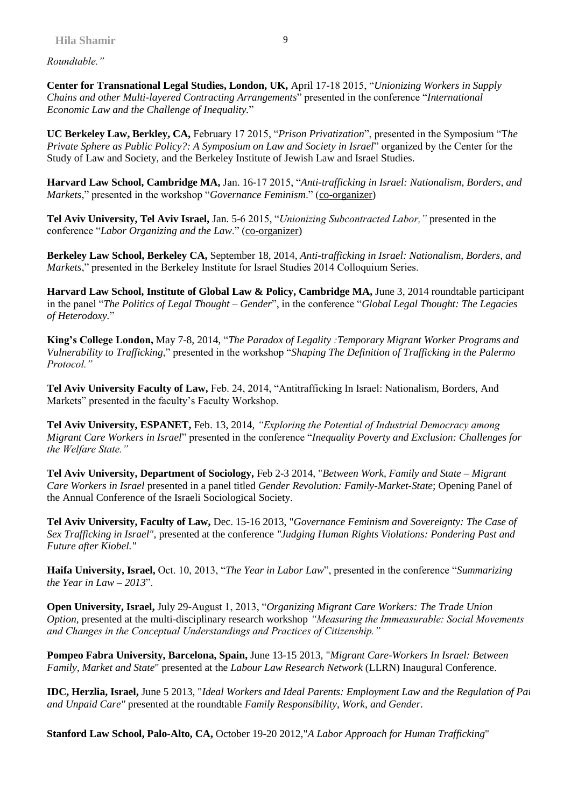*Roundtable."*

**Center for Transnational Legal Studies, London, UK,** April 17-18 2015, "*Unionizing Workers in Supply Chains and other Multi-layered Contracting Arrangements*" presented in the conference "*International Economic Law and the Challenge of Inequality.*"

**UC Berkeley Law, Berkley, CA,** February 17 2015, "*Prison Privatization*", presented in the Symposium "T*he Private Sphere as Public Policy?: A Symposium on Law and Society in Israel*" organized by the Center for the Study of Law and Society, and the Berkeley Institute of Jewish Law and Israel Studies.

**Harvard Law School, Cambridge MA,** Jan. 16-17 2015, "*Anti-trafficking in Israel: Nationalism, Borders, and Markets*," presented in the workshop "*Governance Feminism*." (co-organizer)

**Tel Aviv University, Tel Aviv Israel,** Jan. 5-6 2015, "*Unionizing Subcontracted Labor,"* presented in the conference "*Labor Organizing and the Law*." (co-organizer)

**Berkeley Law School, Berkeley CA,** September 18, 2014, *Anti-trafficking in Israel: Nationalism, Borders, and Markets*," presented in the Berkeley Institute for Israel Studies 2014 Colloquium Series.

**Harvard Law School, Institute of Global Law & Policy, Cambridge MA,** June 3, 2014 roundtable participant in the panel "*The Politics of Legal Thought – Gender*", in the conference "*Global Legal Thought: The Legacies of Heterodoxy.*"

**King's College London,** May 7-8, 2014, "*The Paradox of Legality :Temporary Migrant Worker Programs and Vulnerability to Trafficking*," presented in the workshop "*Shaping The Definition of Trafficking in the Palermo Protocol."*

**Tel Aviv University Faculty of Law,** Feb. 24, 2014, "Antitrafficking In Israel: Nationalism, Borders, And Markets" presented in the faculty's Faculty Workshop.

**Tel Aviv University, ESPANET,** Feb. 13, 2014, *"Exploring the Potential of Industrial Democracy among Migrant Care Workers in Israel*" presented in the conference "*Inequality Poverty and Exclusion: Challenges for the Welfare State."*

**Tel Aviv University, Department of Sociology,** Feb 2-3 2014, "*Between Work, Family and State – Migrant Care Workers in Israel* presented in a panel titled *Gender Revolution: Family-Market-State*; Opening Panel of the Annual Conference of the Israeli Sociological Society.

**Tel Aviv University, Faculty of Law,** Dec. 15-16 2013, "*Governance Feminism and Sovereignty: The Case of Sex Trafficking in Israel",* presented at the conference *"Judging Human Rights Violations: Pondering Past and Future after Kiobel."*

**Haifa University, Israel,** Oct. 10, 2013, "*The Year in Labor Law*", presented in the conference "*Summarizing the Year in Law – 2013*".

**Open University, Israel,** July 29-August 1, 2013, "*Organizing Migrant Care Workers: The Trade Union Option,* presented at the multi-disciplinary research workshop *"Measuring the Immeasurable: Social Movements and Changes in the Conceptual Understandings and Practices of Citizenship."*

**Pompeo Fabra University, Barcelona, Spain,** June 13-15 2013, "*Migrant Care-Workers In Israel: Between Family, Market and State*" presented at the *Labour Law Research Network* (LLRN) Inaugural Conference.

**IDC, Herzlia, Israel,** June 5 2013, "*Ideal Workers and Ideal Parents: Employment Law and the Regulation of Paid and Unpaid Care"* presented at the roundtable *Family Responsibility, Work, and Gender.*

**Stanford Law School, Palo-Alto, CA,** October 19-20 2012,"*A Labor Approach for Human Trafficking*"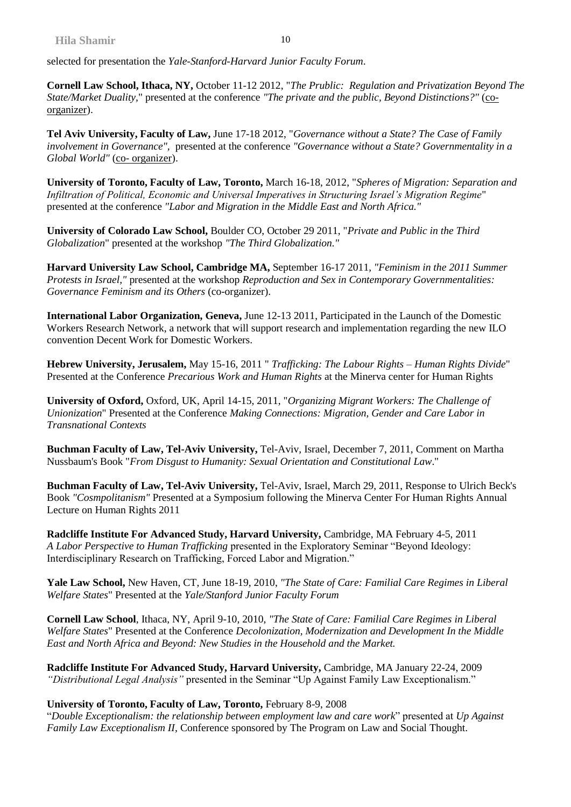selected for presentation the *Yale-Stanford-Harvard Junior Faculty Forum*.

**Cornell Law School, Ithaca, NY,** October 11-12 2012, "*The Prublic: Regulation and Privatization Beyond The State/Market Duality,*" presented at the conference *"The private and the public, Beyond Distinctions?"* (coorganizer).

**Tel Aviv University, Faculty of Law,** June 17-18 2012, "*Governance without a State? The Case of Family involvement in Governance",* presented at the conference *"Governance without a State? Governmentality in a Global World"* (co- organizer).

**University of Toronto, Faculty of Law, Toronto,** March 16-18, 2012, "*Spheres of Migration: Separation and Infiltration of Political, Economic and Universal Imperatives in Structuring Israel's Migration Regime*" presented at the conference *"Labor and Migration in the Middle East and North Africa."*

**University of Colorado Law School,** Boulder CO, October 29 2011, "*Private and Public in the Third Globalization*" presented at the workshop *"The Third Globalization."*

**Harvard University Law School, Cambridge MA,** September 16-17 2011, *"Feminism in the 2011 Summer Protests in Israel,"* presented at the workshop *Reproduction and Sex in Contemporary Governmentalities: Governance Feminism and its Others* (co-organizer).

**International Labor Organization, Geneva,** June 12-13 2011, Participated in the Launch of the Domestic Workers Research Network, a network that will support research and implementation regarding the new ILO convention Decent Work for Domestic Workers.

**Hebrew University, Jerusalem,** May 15-16, 2011 " *Trafficking: The Labour Rights – Human Rights Divide*" Presented at the Conference *Precarious Work and Human Rights* at the Minerva center for Human Rights

**University of Oxford,** Oxford, UK, April 14-15, 2011, "*Organizing Migrant Workers: The Challenge of Unionization*" Presented at the Conference *Making Connections: Migration, Gender and Care Labor in Transnational Contexts*

**Buchman Faculty of Law, Tel-Aviv University,** Tel-Aviv, Israel, December 7, 2011, Comment on Martha Nussbaum's Book "*From Disgust to Humanity: Sexual Orientation and Constitutional Law*."

**Buchman Faculty of Law, Tel-Aviv University,** Tel-Aviv, Israel, March 29, 2011, Response to Ulrich Beck's Book *"Cosmpolitanism"* Presented at a Symposium following the Minerva Center For Human Rights Annual Lecture on Human Rights 2011

**Radcliffe Institute For Advanced Study, Harvard University,** Cambridge, MA February 4-5, 2011 *A Labor Perspective to Human Trafficking* presented in the Exploratory Seminar "Beyond Ideology: Interdisciplinary Research on Trafficking, Forced Labor and Migration."

**Yale Law School,** New Haven, CT, June 18-19, 2010, *"The State of Care: Familial Care Regimes in Liberal Welfare States*" Presented at the *Yale/Stanford Junior Faculty Forum*

**Cornell Law School**, Ithaca, NY, April 9-10, 2010, *"The State of Care: Familial Care Regimes in Liberal Welfare States*" Presented at the Conference *Decolonization, Modernization and Development In the Middle East and North Africa and Beyond: New Studies in the Household and the Market.*

**Radcliffe Institute For Advanced Study, Harvard University,** Cambridge, MA January 22-24, 2009 *"Distributional Legal Analysis"* presented in the Seminar "Up Against Family Law Exceptionalism."

#### **University of Toronto, Faculty of Law, Toronto,** February 8-9, 2008

"*Double Exceptionalism: the relationship between employment law and care work*" presented at *Up Against Family Law Exceptionalism II,* Conference sponsored by The Program on Law and Social Thought.